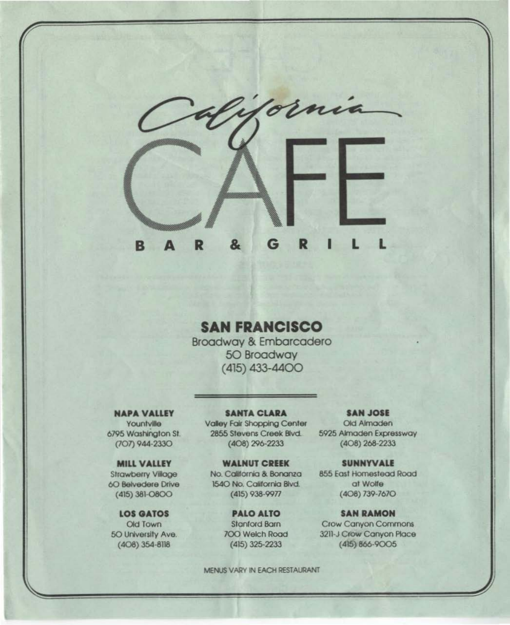

# **SAN FRANCISCO**

**Broadway & Embarcadero 50 Broadway**  $(415)$  433-4400

# **NAPA VALLEY**

Yountville 6795 Washington St. (707) 944-2330

**MILL VALLEY Strawberry Village** 60 Belvedere Drive

 $(415)$  381-O8OO **LOS GATOS** Old Town

50 University Ave.  $(408)$  354-8118

**SANTA CLARA** Valley Fair Shopping Center 2855 Stevens Creek Blvd. (408) 296-2233

**WALNUT CREEK** No. California & Bonanza 1540 No. California Blvd. (415) 938-9977

> **PALO ALTO Stanford Barn** 700 Welch Road  $(415)$  325-2233

MENUS VARY IN EACH RESTAURANT

**SAN JOSE** Old Almaden 5925 Almaden Expressway  $(408)$  268-2233

**SUNNYVALE** 855 East Homestead Road at Wolfe  $(408)$  739-7670

**SAN RAMON Crow Canyon Commons** 3211-J Crow Canyon Place (415) 866-9005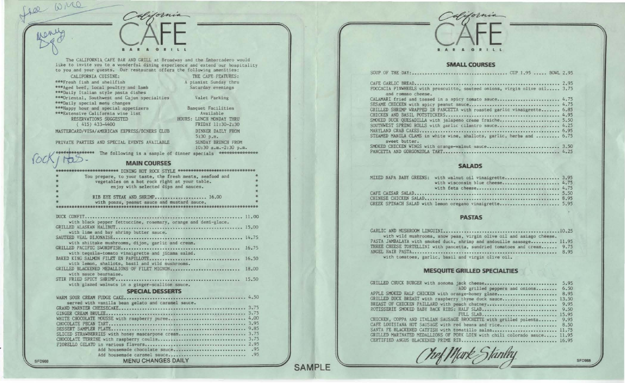

## SMALL COURSES

| FOCCACIA PINWHEELS with proscuitto, sauteed onions, virgin olive oil 3.75<br>and romano cheese.                                              |  |
|----------------------------------------------------------------------------------------------------------------------------------------------|--|
| CALAMARI fried and tossed in a spicy tomato sauce 4.75<br>GRILLED SHRIMP WRAPPED IN PANCETTA with roasted garlic vinaigrette 6.85            |  |
| SMOKED DUCK QUESADILLA with jalapeno creme fraiche 5.50<br>SOUTHWEST SPRING ROLLS with garlic cilantro sauce 4.25                            |  |
| STEAMED MANILA CLAMS in white wine, shallots, garlic, herbs and  6.75<br>sweet butter.<br>SMOKED CHICKEN WINGS with orange-walnut sauce 3.50 |  |

# SAlADS

| MIXED NAPA BABY GREENS: with walnut oil vinaigrette 3.95 |  |
|----------------------------------------------------------|--|
| with wisconsin blue cheese $4.75$                        |  |
|                                                          |  |
|                                                          |  |
|                                                          |  |
| GREEK SPINACH SALAD with lemon oregano vinaigrette 5.95  |  |

#### PASTAS

| with wild mushrooms, snow peas, virgin olive oil and asiago cheese.     |  |
|-------------------------------------------------------------------------|--|
| PASTA JAMBALAYA with smoked duck, shrimp and andouille sausage 11.95    |  |
| THREE CHEESE TORTELLINI with pancetta, sundried tomatoes and cream 9.75 |  |
|                                                                         |  |
| with tomatoes, garlic, basil and virgin olive oil.                      |  |

## MESQUITE GRILlED SPECALTIES

| GRILLED CHUCK BURGER with sonoma jack cheese 5.95                         |  |
|---------------------------------------------------------------------------|--|
| ADD grilled peppers and onions 6.50                                       |  |
| APPLE SMOKED HALF CHICKEN with orange-honey glaze 8.95                    |  |
| GRILLED DUCK BREAST with raspberry thyme duck sauce 13,50                 |  |
| BREAST OF CHICKEN PAILLARD with peach chutney 9.95                        |  |
|                                                                           |  |
| FULL SLAB 15.95                                                           |  |
| CHICKEN, COPPA AND ITALIAN SAUSAGE BROCHETTE with grilled polenta 9.95    |  |
| CAFE LOUISIANA HOT SAUSAGE with red beans and rice 8.50                   |  |
| SANTA FE BLACKENED CATFISH with tomatillo salsa 11.75                     |  |
| GRILLED MARINATED MEDALLIONS OF PORK LOIN with chili colorado sauce 11.95 |  |
|                                                                           |  |
|                                                                           |  |

SFD988

The CALIFORNIA CAFE BAR AND GRILL at Broadway and the Embarcadero would like to invite you to a wonderful dining experience and extend our hospitality to you and your guests. Our restaurant offers the following amenities:

BAR & GRILL

Afifornia

CALIFORNIA CUISINE: THE CAFE FEATURES: \*\*\*Fresh fish and shellfish \*\*\* Aged beef, local poultry and lamb \*\*\*Daily Italian style pasta dishes \*\*\* Oriental, Southwest and Cajun specialties \*\*\*Daily special menu changes \*\*\*Happy hour and special appetizers<br>\*\*\*Extensive California wine list RESERVATIONS SUGGESTED ( 415) 433-4400

Banquet Facilities Available HOURS: LUNCH MONDAY THRU fRIDAY 11:30-2:30 DINNER DAILY FROM

> 5:30 p.m. SUNDAY BRUNCH fROM

10:30 a.m.-2:30 p.m.

A pianist Sunday thru Saturday evenings Valet Parking

MASTERCARD/VISA/AMERICAN EXPRESS/DINERS CLUB

PRIVATE PARTIES AND SPECIAL EVENTS AVAILABLE

(od<j'it5~· *.* The following is a sample of dinner specials ••••••••••••• .

#### MAIN COURSES

| *********************** DINING HOT ROCK STYLE *****************************   |       |
|-------------------------------------------------------------------------------|-------|
|                                                                               |       |
| You prepare, to your taste, the fresh meats, seafood and                      |       |
| vegetables on a hot rock right at your table.                                 |       |
| enjoy with selected dips and sauces.                                          |       |
|                                                                               |       |
| RIB EYE STEAK AND SHRIMP 16.00                                                |       |
| with ponzu, peanut sauce and mustard sauce.                                   |       |
|                                                                               |       |
|                                                                               |       |
| DUCK CONFIT.                                                                  | 11.00 |
| with black pepper fettuccine, rosemary, orange and demi-glace.                |       |
|                                                                               |       |
| with lime and bay shrimp butter sauce.                                        |       |
| SAUTEED VEAL DIJONAISE                                                        |       |
| with shiitake mushrooms, dijon, garlic and cream.                             |       |
|                                                                               | 16.75 |
| with tequila-tomato vinaigrette and jicama salad.                             |       |
|                                                                               | 16.50 |
| with lemon, shallots, basil and wild mushrooms.                               |       |
| <b>The Company of Company</b><br>GRILLED BLACKENED MEDALLIONS OF FILET MIGNON | 18.00 |
| with sauce bearnaise.                                                         |       |
| STIR FRIED SPICY SHRIMP                                                       | 15,50 |
| with glazed walnuts in a ginger-scallion sauce.                               |       |
|                                                                               |       |
| <b>SPECIAL DESSERTS</b>                                                       |       |
| WARM SOUR CREAM FUDGE CAKE                                                    | 4.50  |
| served with vanilla bean gelato and caramel sauce.                            |       |
|                                                                               |       |
| GINGER CREAM BRULEE                                                           |       |
| WHITE CHOCOLATE MOUSSE with raspberry puree 4.00                              |       |
|                                                                               |       |
|                                                                               |       |
| SLICED STRAWBERRIES with honey mascarpone cream 3.75                          |       |
|                                                                               |       |
|                                                                               |       |
|                                                                               |       |

Add housemade caramel sauce.... ........... ••••••••••••••• .95 MENU CHANGES DAILY

Add housemade chocolate sauce ............. . . ••• .• •.••.. . . .95

See wice